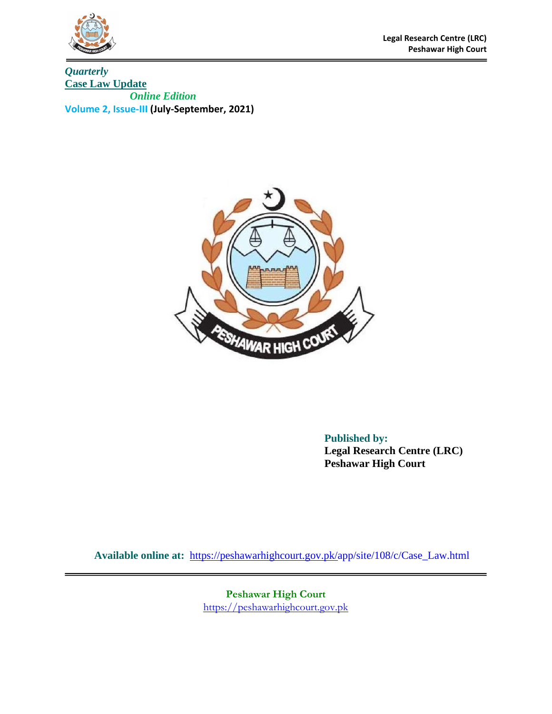

*Quarterly*  **Case Law Update**  *Online Edition*  **Volume 2, Issue-III (July-September, 2021)**



**Published by: Legal Research Centre (LRC) Peshawar High Court** 

**Available online at:** <https://peshawarhighcourt.gov.pk/a>pp/site/108/c/Case\_Law.html

**Peshawar High Court** [https://peshawarhighcourt.gov.pk](https://peshawarhighcourt.gov.pk/)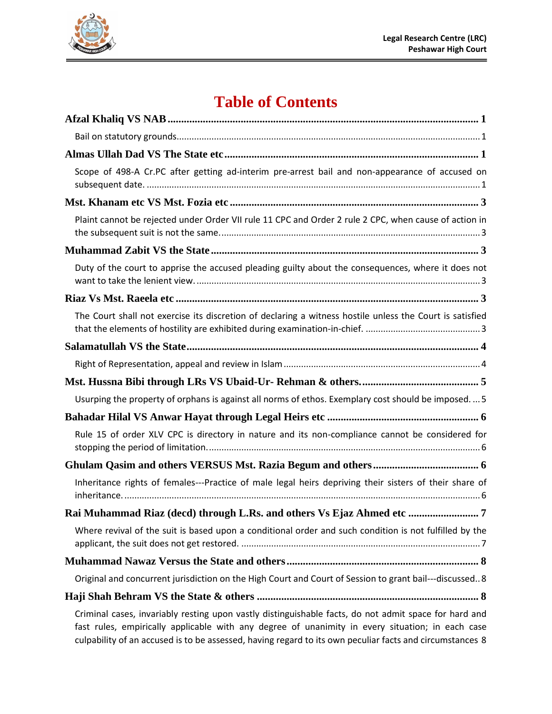

# **Table of Contents**

| Scope of 498-A Cr.PC after getting ad-interim pre-arrest bail and non-appearance of accused on           |
|----------------------------------------------------------------------------------------------------------|
|                                                                                                          |
| Plaint cannot be rejected under Order VII rule 11 CPC and Order 2 rule 2 CPC, when cause of action in    |
|                                                                                                          |
| Duty of the court to apprise the accused pleading guilty about the consequences, where it does not       |
|                                                                                                          |
| The Court shall not exercise its discretion of declaring a witness hostile unless the Court is satisfied |
|                                                                                                          |
|                                                                                                          |
|                                                                                                          |
| Usurping the property of orphans is against all norms of ethos. Exemplary cost should be imposed 5       |
|                                                                                                          |
| Rule 15 of order XLV CPC is directory in nature and its non-compliance cannot be considered for          |
|                                                                                                          |
| Inheritance rights of females---Practice of male legal heirs depriving their sisters of their share of   |
| Rai Muhammad Riaz (decd) through L.Rs. and others Vs Ejaz Ahmed etc<br>7                                 |
| Where revival of the suit is based upon a conditional order and such condition is not fulfilled by the   |
|                                                                                                          |
| Original and concurrent jurisdiction on the High Court and Court of Session to grant bail---discussed 8  |
|                                                                                                          |
| Criminal access invariably resting upon vectly distinguishable facts, do not admit space for band and    |

[Criminal cases, invariably resting upon vastly distinguishable facts, do not admit space for hard and](#page-10-3)  [fast rules, empirically applicable with any degree of unanimity in every situation; in each case](#page-10-3)  culpability [of an accused is to be assessed, having regard to its own peculiar facts and circumstances](#page-10-3) 8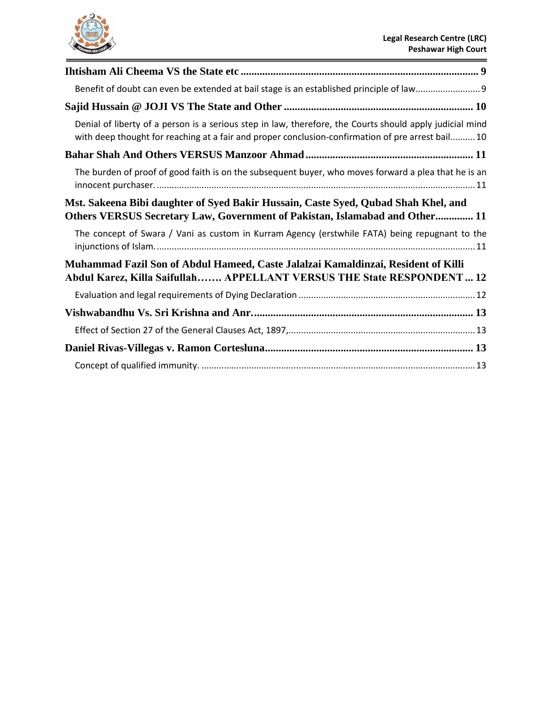

| Denial of liberty of a person is a serious step in law, therefore, the Courts should apply judicial mind<br>with deep thought for reaching at a fair and proper conclusion-confirmation of pre arrest bail 10 |
|---------------------------------------------------------------------------------------------------------------------------------------------------------------------------------------------------------------|
|                                                                                                                                                                                                               |
| The burden of proof of good faith is on the subsequent buyer, who moves forward a plea that he is an                                                                                                          |
| Mst. Sakeena Bibi daughter of Syed Bakir Hussain, Caste Syed, Qubad Shah Khel, and<br>Others VERSUS Secretary Law, Government of Pakistan, Islamabad and Other 11                                             |
| The concept of Swara / Vani as custom in Kurram Agency (erstwhile FATA) being repugnant to the                                                                                                                |
| Muhammad Fazil Son of Abdul Hameed, Caste Jalalzai Kamaldinzai, Resident of Killi<br>Abdul Karez, Killa Saifullah APPELLANT VERSUS THE State RESPONDENT  12                                                   |
|                                                                                                                                                                                                               |
|                                                                                                                                                                                                               |
|                                                                                                                                                                                                               |
|                                                                                                                                                                                                               |
|                                                                                                                                                                                                               |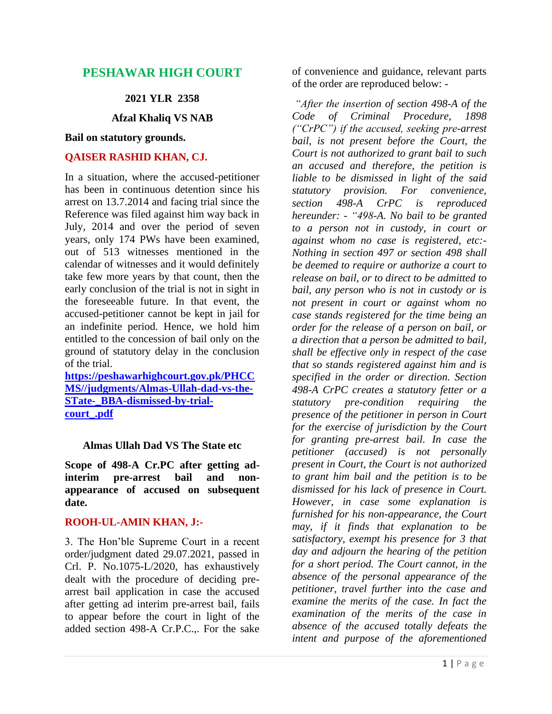# **PESHAWAR HIGH COURT**

#### **2021 YLR 2358**

**Afzal Khaliq VS NAB**

#### <span id="page-3-1"></span><span id="page-3-0"></span>**Bail on statutory grounds.**

#### **QAISER RASHID KHAN, CJ.**

In a situation, where the accused-petitioner has been in continuous detention since his arrest on 13.7.2014 and facing trial since the Reference was filed against him way back in July, 2014 and over the period of seven years, only 174 PWs have been examined, out of 513 witnesses mentioned in the calendar of witnesses and it would definitely take few more years by that count, then the early conclusion of the trial is not in sight in the foreseeable future. In that event, the accused-petitioner cannot be kept in jail for an indefinite period. Hence, we hold him entitled to the concession of bail only on the ground of statutory delay in the conclusion of the trial.

**[https://peshawarhighcourt.gov.pk/PHCC](https://peshawarhighcourt.gov.pk/PHCCMS/judgments/Almas-Ullah-dad-vs-the-STate-_BBA-dismissed-by-trial-court_.pdf) [MS//judgments/Almas-Ullah-dad-vs-the-](https://peshawarhighcourt.gov.pk/PHCCMS/judgments/Almas-Ullah-dad-vs-the-STate-_BBA-dismissed-by-trial-court_.pdf)[STate-\\_BBA-dismissed-by-trial](https://peshawarhighcourt.gov.pk/PHCCMS/judgments/Almas-Ullah-dad-vs-the-STate-_BBA-dismissed-by-trial-court_.pdf)[court\\_.pdf](https://peshawarhighcourt.gov.pk/PHCCMS/judgments/Almas-Ullah-dad-vs-the-STate-_BBA-dismissed-by-trial-court_.pdf)**

#### <span id="page-3-2"></span>**Almas Ullah Dad VS The State etc**

<span id="page-3-3"></span>**Scope of 498-A Cr.PC after getting adinterim pre-arrest bail and nonappearance of accused on subsequent date.**

## **ROOH-UL-AMIN KHAN, J:-**

3. The Hon'ble Supreme Court in a recent order/judgment dated 29.07.2021, passed in Crl. P. No.1075-L/2020, has exhaustively dealt with the procedure of deciding prearrest bail application in case the accused after getting ad interim pre-arrest bail, fails to appear before the court in light of the added section 498-A Cr.P.C.,. For the sake

of convenience and guidance, relevant parts of the order are reproduced below: -

*"After the insertion of section 498-A of the Code of Criminal Procedure, 1898 ("CrPC") if the accused, seeking pre-arrest bail, is not present before the Court, the Court is not authorized to grant bail to such an accused and therefore, the petition is liable to be dismissed in light of the said statutory provision. For convenience, section 498-A CrPC is reproduced hereunder: - "498-A. No bail to be granted to a person not in custody, in court or against whom no case is registered, etc:- Nothing in section 497 or section 498 shall be deemed to require or authorize a court to release on bail, or to direct to be admitted to bail, any person who is not in custody or is not present in court or against whom no case stands registered for the time being an order for the release of a person on bail, or a direction that a person be admitted to bail, shall be effective only in respect of the case that so stands registered against him and is specified in the order or direction. Section 498-A CrPC creates a statutory fetter or a statutory pre-condition requiring the presence of the petitioner in person in Court for the exercise of jurisdiction by the Court for granting pre-arrest bail. In case the petitioner (accused) is not personally present in Court, the Court is not authorized to grant him bail and the petition is to be dismissed for his lack of presence in Court. However, in case some explanation is furnished for his non-appearance, the Court may, if it finds that explanation to be satisfactory, exempt his presence for 3 that day and adjourn the hearing of the petition for a short period. The Court cannot, in the absence of the personal appearance of the petitioner, travel further into the case and examine the merits of the case. In fact the examination of the merits of the case in absence of the accused totally defeats the intent and purpose of the aforementioned*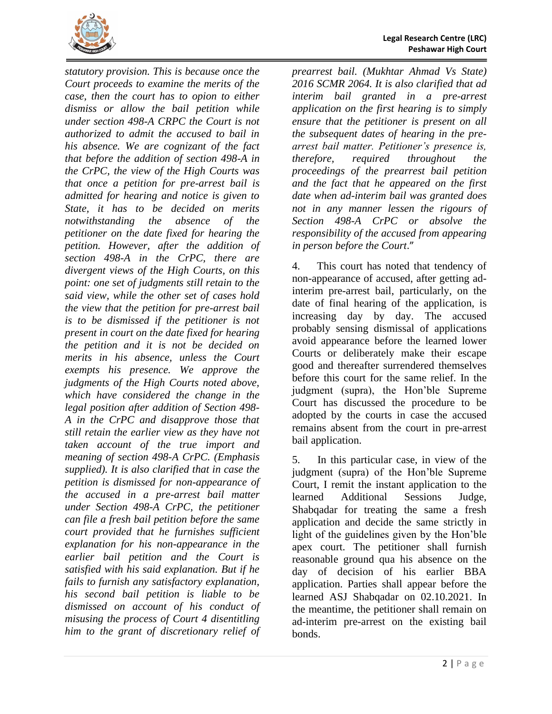

*statutory provision. This is because once the Court proceeds to examine the merits of the case, then the court has to opion to either dismiss or allow the bail petition while under section 498-A CRPC the Court is not authorized to admit the accused to bail in his absence. We are cognizant of the fact that before the addition of section 498-A in the CrPC, the view of the High Courts was that once a petition for pre-arrest bail is admitted for hearing and notice is given to State, it has to be decided on merits notwithstanding the absence of the petitioner on the date fixed for hearing the petition. However, after the addition of section 498-A in the CrPC, there are divergent views of the High Courts, on this point: one set of judgments still retain to the said view, while the other set of cases hold the view that the petition for pre-arrest bail is to be dismissed if the petitioner is not present in court on the date fixed for hearing the petition and it is not be decided on merits in his absence, unless the Court exempts his presence. We approve the judgments of the High Courts noted above, which have considered the change in the legal position after addition of Section 498- A in the CrPC and disapprove those that still retain the earlier view as they have not taken account of the true import and meaning of section 498-A CrPC. (Emphasis supplied). It is also clarified that in case the petition is dismissed for non-appearance of the accused in a pre-arrest bail matter under Section 498-A CrPC, the petitioner can file a fresh bail petition before the same court provided that he furnishes sufficient explanation for his non-appearance in the earlier bail petition and the Court is satisfied with his said explanation. But if he fails to furnish any satisfactory explanation, his second bail petition is liable to be dismissed on account of his conduct of misusing the process of Court 4 disentitling him to the grant of discretionary relief of* 

*prearrest bail. (Mukhtar Ahmad Vs State) 2016 SCMR 2064. It is also clarified that ad interim bail granted in a pre-arrest application on the first hearing is to simply ensure that the petitioner is present on all the subsequent dates of hearing in the prearrest bail matter. Petitioner's presence is, therefore, required throughout the proceedings of the prearrest bail petition and the fact that he appeared on the first date when ad-interim bail was granted does not in any manner lessen the rigours of Section 498-A CrPC or absolve the responsibility of the accused from appearing in person before the Court*."

4. This court has noted that tendency of non-appearance of accused, after getting adinterim pre-arrest bail, particularly, on the date of final hearing of the application, is increasing day by day. The accused probably sensing dismissal of applications avoid appearance before the learned lower Courts or deliberately make their escape good and thereafter surrendered themselves before this court for the same relief. In the judgment (supra), the Hon'ble Supreme Court has discussed the procedure to be adopted by the courts in case the accused remains absent from the court in pre-arrest bail application.

5. In this particular case, in view of the judgment (supra) of the Hon'ble Supreme Court, I remit the instant application to the learned Additional Sessions Judge, Shabqadar for treating the same a fresh application and decide the same strictly in light of the guidelines given by the Hon'ble apex court. The petitioner shall furnish reasonable ground qua his absence on the day of decision of his earlier BBA application. Parties shall appear before the learned ASJ Shabqadar on 02.10.2021. In the meantime, the petitioner shall remain on ad-interim pre-arrest on the existing bail bonds.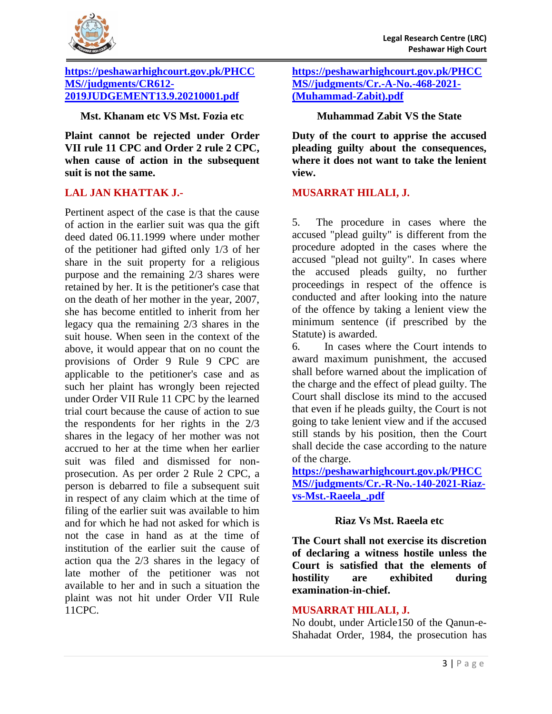

#### **[https://peshawarhighcourt.gov.pk/PHCC](https://peshawarhighcourt.gov.pk/PHCCMS/judgments/CR612-2019JUDGEMENT13.9.20210001.pdf) [MS//judgments/CR612-](https://peshawarhighcourt.gov.pk/PHCCMS/judgments/CR612-2019JUDGEMENT13.9.20210001.pdf) [2019JUDGEMENT13.9.20210001.pdf](https://peshawarhighcourt.gov.pk/PHCCMS/judgments/CR612-2019JUDGEMENT13.9.20210001.pdf)**

## <span id="page-5-0"></span>**Mst. Khanam etc VS Mst. Fozia etc**

<span id="page-5-1"></span>**Plaint cannot be rejected under Order VII rule 11 CPC and Order 2 rule 2 CPC, when cause of action in the subsequent suit is not the same.**

## **LAL JAN KHATTAK J.-**

Pertinent aspect of the case is that the cause of action in the earlier suit was qua the gift deed dated 06.11.1999 where under mother of the petitioner had gifted only 1/3 of her share in the suit property for a religious purpose and the remaining 2/3 shares were retained by her. It is the petitioner's case that on the death of her mother in the year, 2007, she has become entitled to inherit from her legacy qua the remaining 2/3 shares in the suit house. When seen in the context of the above, it would appear that on no count the provisions of Order 9 Rule 9 CPC are applicable to the petitioner's case and as such her plaint has wrongly been rejected under Order VII Rule 11 CPC by the learned trial court because the cause of action to sue the respondents for her rights in the 2/3 shares in the legacy of her mother was not accrued to her at the time when her earlier suit was filed and dismissed for nonprosecution. As per order 2 Rule 2 CPC, a person is debarred to file a subsequent suit in respect of any claim which at the time of filing of the earlier suit was available to him and for which he had not asked for which is not the case in hand as at the time of institution of the earlier suit the cause of action qua the 2/3 shares in the legacy of late mother of the petitioner was not available to her and in such a situation the plaint was not hit under Order VII Rule 11CPC.

**[https://peshawarhighcourt.gov.pk/PHCC](https://peshawarhighcourt.gov.pk/PHCCMS/judgments/Cr.-A-No.-468-2021-(Muhammad-Zabit).pdf) [MS//judgments/Cr.-A-No.-468-2021-](https://peshawarhighcourt.gov.pk/PHCCMS/judgments/Cr.-A-No.-468-2021-(Muhammad-Zabit).pdf) [\(Muhammad-Zabit\).pdf](https://peshawarhighcourt.gov.pk/PHCCMS/judgments/Cr.-A-No.-468-2021-(Muhammad-Zabit).pdf)**

## **Muhammad Zabit VS the State**

<span id="page-5-3"></span><span id="page-5-2"></span>**Duty of the court to apprise the accused pleading guilty about the consequences, where it does not want to take the lenient view.**

## **MUSARRAT HILALI, J.**

5. The procedure in cases where the accused "plead guilty" is different from the procedure adopted in the cases where the accused "plead not guilty". In cases where the accused pleads guilty, no further proceedings in respect of the offence is conducted and after looking into the nature of the offence by taking a lenient view the minimum sentence (if prescribed by the Statute) is awarded.

6. In cases where the Court intends to award maximum punishment, the accused shall before warned about the implication of the charge and the effect of plead guilty. The Court shall disclose its mind to the accused that even if he pleads guilty, the Court is not going to take lenient view and if the accused still stands by his position, then the Court shall decide the case according to the nature of the charge.

**[https://peshawarhighcourt.gov.pk/PHCC](https://peshawarhighcourt.gov.pk/PHCCMS/judgments/Cr.-R-No.-140-2021-Riaz-vs-Mst.-Raeela_.pdf) [MS//judgments/Cr.-R-No.-140-2021-Riaz](https://peshawarhighcourt.gov.pk/PHCCMS/judgments/Cr.-R-No.-140-2021-Riaz-vs-Mst.-Raeela_.pdf)[vs-Mst.-Raeela\\_.pdf](https://peshawarhighcourt.gov.pk/PHCCMS/judgments/Cr.-R-No.-140-2021-Riaz-vs-Mst.-Raeela_.pdf)**

## **Riaz Vs Mst. Raeela etc**

<span id="page-5-5"></span><span id="page-5-4"></span>**The Court shall not exercise its discretion of declaring a witness hostile unless the Court is satisfied that the elements of hostility are exhibited during examination-in-chief.**

## **MUSARRAT HILALI, J.**

No doubt, under Article150 of the Qanun-e-Shahadat Order, 1984, the prosecution has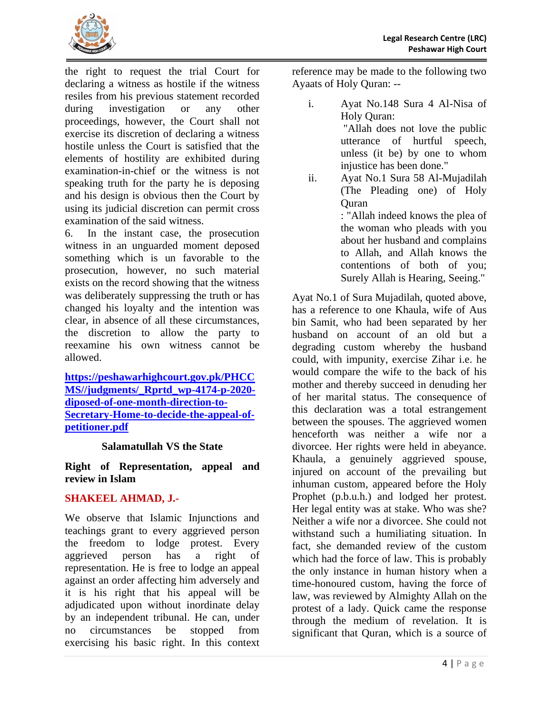

the right to request the trial Court for declaring a witness as hostile if the witness resiles from his previous statement recorded during investigation or any other proceedings, however, the Court shall not exercise its discretion of declaring a witness hostile unless the Court is satisfied that the elements of hostility are exhibited during examination-in-chief or the witness is not speaking truth for the party he is deposing and his design is obvious then the Court by using its judicial discretion can permit cross examination of the said witness.

6. In the instant case, the prosecution witness in an unguarded moment deposed something which is un favorable to the prosecution, however, no such material exists on the record showing that the witness was deliberately suppressing the truth or has changed his loyalty and the intention was clear, in absence of all these circumstances, the discretion to allow the party to reexamine his own witness cannot be allowed.

**[https://peshawarhighcourt.gov.pk/PHCC](https://peshawarhighcourt.gov.pk/PHCCMS/judgments/_Rprtd_wp-4174-p-2020-diposed-of-one-month-direction-to-Secretary-Home-to-decide-the-appeal-of-petitioner.pdf) [MS//judgments/\\_Rprtd\\_wp-4174-p-2020](https://peshawarhighcourt.gov.pk/PHCCMS/judgments/_Rprtd_wp-4174-p-2020-diposed-of-one-month-direction-to-Secretary-Home-to-decide-the-appeal-of-petitioner.pdf) [diposed-of-one-month-direction-to-](https://peshawarhighcourt.gov.pk/PHCCMS/judgments/_Rprtd_wp-4174-p-2020-diposed-of-one-month-direction-to-Secretary-Home-to-decide-the-appeal-of-petitioner.pdf)[Secretary-Home-to-decide-the-appeal-of](https://peshawarhighcourt.gov.pk/PHCCMS/judgments/_Rprtd_wp-4174-p-2020-diposed-of-one-month-direction-to-Secretary-Home-to-decide-the-appeal-of-petitioner.pdf)[petitioner.pdf](https://peshawarhighcourt.gov.pk/PHCCMS/judgments/_Rprtd_wp-4174-p-2020-diposed-of-one-month-direction-to-Secretary-Home-to-decide-the-appeal-of-petitioner.pdf)**

#### **Salamatullah VS the State**

<span id="page-6-1"></span><span id="page-6-0"></span>**Right of Representation, appeal and review in Islam**

## **SHAKEEL AHMAD, J.-**

We observe that Islamic Injunctions and teachings grant to every aggrieved person the freedom to lodge protest. Every aggrieved person has a right of representation. He is free to lodge an appeal against an order affecting him adversely and it is his right that his appeal will be adjudicated upon without inordinate delay by an independent tribunal. He can, under no circumstances be stopped from exercising his basic right. In this context

reference may be made to the following two Ayaats of Holy Quran: --

- i. Ayat No.148 Sura 4 Al-Nisa of Holy Quran: "Allah does not love the public utterance of hurtful speech, unless (it be) by one to whom injustice has been done."
- ii. Ayat No.1 Sura 58 Al-Mujadilah (The Pleading one) of Holy **Ouran**

: "Allah indeed knows the plea of the woman who pleads with you about her husband and complains to Allah, and Allah knows the contentions of both of you; Surely Allah is Hearing, Seeing."

Ayat No.1 of Sura Mujadilah, quoted above, has a reference to one Khaula, wife of Aus bin Samit, who had been separated by her husband on account of an old but a degrading custom whereby the husband could, with impunity, exercise Zihar i.e. he would compare the wife to the back of his mother and thereby succeed in denuding her of her marital status. The consequence of this declaration was a total estrangement between the spouses. The aggrieved women henceforth was neither a wife nor a divorcee. Her rights were held in abeyance. Khaula, a genuinely aggrieved spouse, injured on account of the prevailing but inhuman custom, appeared before the Holy Prophet (p.b.u.h.) and lodged her protest. Her legal entity was at stake. Who was she? Neither a wife nor a divorcee. She could not withstand such a humiliating situation. In fact, she demanded review of the custom which had the force of law. This is probably the only instance in human history when a time-honoured custom, having the force of law, was reviewed by Almighty Allah on the protest of a lady. Quick came the response through the medium of revelation. It is significant that Quran, which is a source of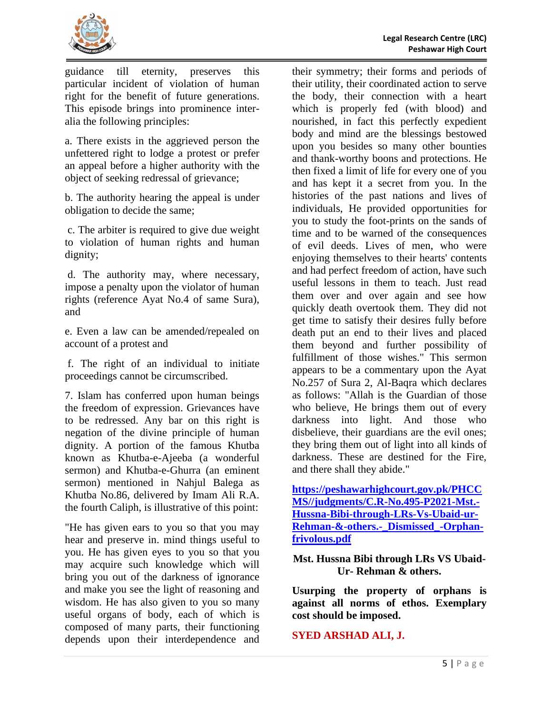

guidance till eternity, preserves this particular incident of violation of human right for the benefit of future generations. This episode brings into prominence interalia the following principles:

a. There exists in the aggrieved person the unfettered right to lodge a protest or prefer an appeal before a higher authority with the object of seeking redressal of grievance;

b. The authority hearing the appeal is under obligation to decide the same;

c. The arbiter is required to give due weight to violation of human rights and human dignity;

d. The authority may, where necessary, impose a penalty upon the violator of human rights (reference Ayat No.4 of same Sura), and

e. Even a law can be amended/repealed on account of a protest and

f. The right of an individual to initiate proceedings cannot be circumscribed.

7. Islam has conferred upon human beings the freedom of expression. Grievances have to be redressed. Any bar on this right is negation of the divine principle of human dignity. A portion of the famous Khutba known as Khutba-e-Ajeeba (a wonderful sermon) and Khutba-e-Ghurra (an eminent sermon) mentioned in Nahjul Balega as Khutba No.86, delivered by Imam Ali R.A. the fourth Caliph, is illustrative of this point:

"He has given ears to you so that you may hear and preserve in. mind things useful to you. He has given eyes to you so that you may acquire such knowledge which will bring you out of the darkness of ignorance and make you see the light of reasoning and wisdom. He has also given to you so many useful organs of body, each of which is composed of many parts, their functioning depends upon their interdependence and their symmetry; their forms and periods of their utility, their coordinated action to serve the body, their connection with a heart which is properly fed (with blood) and nourished, in fact this perfectly expedient body and mind are the blessings bestowed upon you besides so many other bounties and thank-worthy boons and protections. He then fixed a limit of life for every one of you and has kept it a secret from you. In the histories of the past nations and lives of individuals, He provided opportunities for you to study the foot-prints on the sands of time and to be warned of the consequences of evil deeds. Lives of men, who were enjoying themselves to their hearts' contents and had perfect freedom of action, have such useful lessons in them to teach. Just read them over and over again and see how quickly death overtook them. They did not get time to satisfy their desires fully before death put an end to their lives and placed them beyond and further possibility of fulfillment of those wishes." This sermon appears to be a commentary upon the Ayat No.257 of Sura 2, Al-Baqra which declares as follows: "Allah is the Guardian of those who believe, He brings them out of every darkness into light. And those who disbelieve, their guardians are the evil ones; they bring them out of light into all kinds of darkness. These are destined for the Fire, and there shall they abide."

**[https://peshawarhighcourt.gov.pk/PHCC](https://peshawarhighcourt.gov.pk/PHCCMS/judgments/C.R-No.495-P2021-Mst.-Hussna-Bibi-through-LRs-Vs-Ubaid-ur-Rehman-&-others.-_Dismissed_-Orphan-frivolous.pdf) [MS//judgments/C.R-No.495-P2021-Mst.-](https://peshawarhighcourt.gov.pk/PHCCMS/judgments/C.R-No.495-P2021-Mst.-Hussna-Bibi-through-LRs-Vs-Ubaid-ur-Rehman-&-others.-_Dismissed_-Orphan-frivolous.pdf) [Hussna-Bibi-through-LRs-Vs-Ubaid-ur-](https://peshawarhighcourt.gov.pk/PHCCMS/judgments/C.R-No.495-P2021-Mst.-Hussna-Bibi-through-LRs-Vs-Ubaid-ur-Rehman-&-others.-_Dismissed_-Orphan-frivolous.pdf)[Rehman-&-others.-\\_Dismissed\\_-Orphan](https://peshawarhighcourt.gov.pk/PHCCMS/judgments/C.R-No.495-P2021-Mst.-Hussna-Bibi-through-LRs-Vs-Ubaid-ur-Rehman-&-others.-_Dismissed_-Orphan-frivolous.pdf)[frivolous.pdf](https://peshawarhighcourt.gov.pk/PHCCMS/judgments/C.R-No.495-P2021-Mst.-Hussna-Bibi-through-LRs-Vs-Ubaid-ur-Rehman-&-others.-_Dismissed_-Orphan-frivolous.pdf)**

## <span id="page-7-0"></span>**Mst. Hussna Bibi through LRs VS Ubaid-Ur- Rehman & others.**

<span id="page-7-1"></span>**Usurping the property of orphans is against all norms of ethos. Exemplary cost should be imposed.**

## **SYED ARSHAD ALI, J.**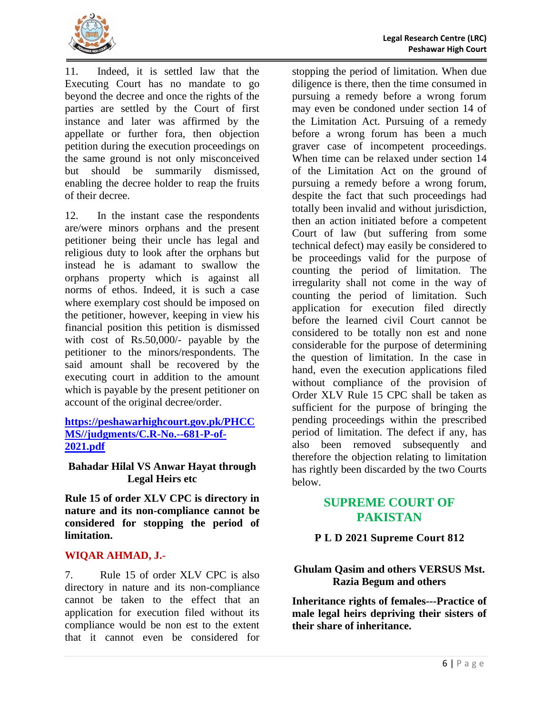

11. Indeed, it is settled law that the Executing Court has no mandate to go beyond the decree and once the rights of the parties are settled by the Court of first instance and later was affirmed by the appellate or further fora, then objection petition during the execution proceedings on the same ground is not only misconceived but should be summarily dismissed, enabling the decree holder to reap the fruits of their decree.

12. In the instant case the respondents are/were minors orphans and the present petitioner being their uncle has legal and religious duty to look after the orphans but instead he is adamant to swallow the orphans property which is against all norms of ethos. Indeed, it is such a case where exemplary cost should be imposed on the petitioner, however, keeping in view his financial position this petition is dismissed with cost of Rs.50,000/- payable by the petitioner to the minors/respondents. The said amount shall be recovered by the executing court in addition to the amount which is payable by the present petitioner on account of the original decree/order.

#### **[https://peshawarhighcourt.gov.pk/PHCC](https://peshawarhighcourt.gov.pk/PHCCMS/judgments/C.R-No.--681-P-of-2021.pdf) [MS//judgments/C.R-No.--681-P-of-](https://peshawarhighcourt.gov.pk/PHCCMS/judgments/C.R-No.--681-P-of-2021.pdf)[2021.pdf](https://peshawarhighcourt.gov.pk/PHCCMS/judgments/C.R-No.--681-P-of-2021.pdf)**

#### <span id="page-8-0"></span>**Bahadar Hilal VS Anwar Hayat through Legal Heirs etc**

<span id="page-8-1"></span>**Rule 15 of order XLV CPC is directory in nature and its non-compliance cannot be considered for stopping the period of limitation.**

## **WIQAR AHMAD, J.-**

7. Rule 15 of order XLV CPC is also directory in nature and its non-compliance cannot be taken to the effect that an application for execution filed without its compliance would be non est to the extent that it cannot even be considered for

stopping the period of limitation. When due diligence is there, then the time consumed in pursuing a remedy before a wrong forum may even be condoned under section 14 of the Limitation Act. Pursuing of a remedy before a wrong forum has been a much graver case of incompetent proceedings. When time can be relaxed under section 14 of the Limitation Act on the ground of pursuing a remedy before a wrong forum, despite the fact that such proceedings had totally been invalid and without jurisdiction, then an action initiated before a competent Court of law (but suffering from some technical defect) may easily be considered to be proceedings valid for the purpose of counting the period of limitation. The irregularity shall not come in the way of counting the period of limitation. Such application for execution filed directly before the learned civil Court cannot be considered to be totally non est and none considerable for the purpose of determining the question of limitation. In the case in hand, even the execution applications filed without compliance of the provision of Order XLV Rule 15 CPC shall be taken as sufficient for the purpose of bringing the pending proceedings within the prescribed period of limitation. The defect if any, has also been removed subsequently and therefore the objection relating to limitation has rightly been discarded by the two Courts below.

## **SUPREME COURT OF PAKISTAN**

# **P L D 2021 Supreme Court 812**

## <span id="page-8-2"></span>**Ghulam Qasim and others VERSUS Mst. Razia Begum and others**

<span id="page-8-3"></span>**Inheritance rights of females---Practice of male legal heirs depriving their sisters of their share of inheritance.**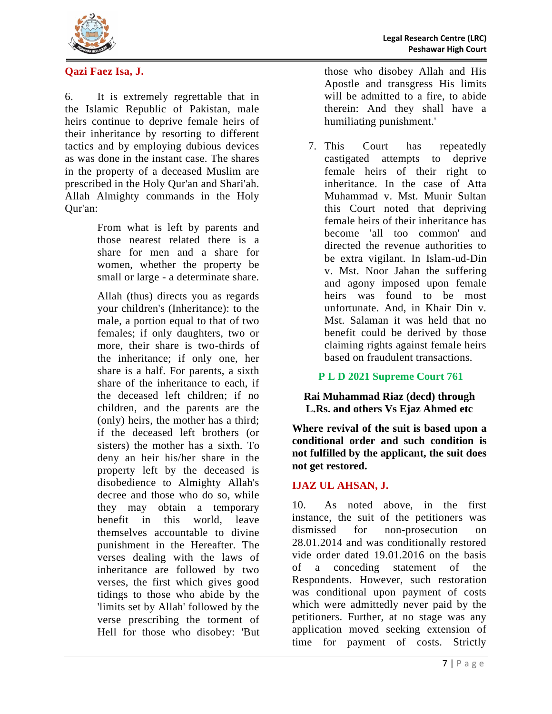

## **Qazi Faez Isa, J.**

6. It is extremely regrettable that in the Islamic Republic of Pakistan, male heirs continue to deprive female heirs of their inheritance by resorting to different tactics and by employing dubious devices as was done in the instant case. The shares in the property of a deceased Muslim are prescribed in the Holy Qur'an and Shari'ah. Allah Almighty commands in the Holy Qur'an:

> From what is left by parents and those nearest related there is a share for men and a share for women, whether the property be small or large - a determinate share.

Allah (thus) directs you as regards your children's (Inheritance): to the male, a portion equal to that of two females; if only daughters, two or more, their share is two-thirds of the inheritance; if only one, her share is a half. For parents, a sixth share of the inheritance to each, if the deceased left children; if no children, and the parents are the (only) heirs, the mother has a third; if the deceased left brothers (or sisters) the mother has a sixth. To deny an heir his/her share in the property left by the deceased is disobedience to Almighty Allah's decree and those who do so, while they may obtain a temporary benefit in this world, leave themselves accountable to divine punishment in the Hereafter. The verses dealing with the laws of inheritance are followed by two verses, the first which gives good tidings to those who abide by the 'limits set by Allah' followed by the verse prescribing the torment of Hell for those who disobey: 'But

those who disobey Allah and His Apostle and transgress His limits will be admitted to a fire, to abide therein: And they shall have a humiliating punishment.'

7. This Court has repeatedly castigated attempts to deprive female heirs of their right to inheritance. In the case of Atta Muhammad v. Mst. Munir Sultan this Court noted that depriving female heirs of their inheritance has become 'all too common' and directed the revenue authorities to be extra vigilant. In Islam-ud-Din v. Mst. Noor Jahan the suffering and agony imposed upon female heirs was found to be most unfortunate. And, in Khair Din v. Mst. Salaman it was held that no benefit could be derived by those claiming rights against female heirs based on fraudulent transactions.

**P L D 2021 Supreme Court 761**

<span id="page-9-0"></span>**Rai Muhammad Riaz (decd) through L.Rs. and others Vs Ejaz Ahmed etc**

<span id="page-9-1"></span>**Where revival of the suit is based upon a conditional order and such condition is not fulfilled by the applicant, the suit does not get restored.** 

## **IJAZ UL AHSAN, J.**

10. As noted above, in the first instance, the suit of the petitioners was dismissed for non-prosecution on 28.01.2014 and was conditionally restored vide order dated 19.01.2016 on the basis of a conceding statement of the Respondents. However, such restoration was conditional upon payment of costs which were admittedly never paid by the petitioners. Further, at no stage was any application moved seeking extension of time for payment of costs. Strictly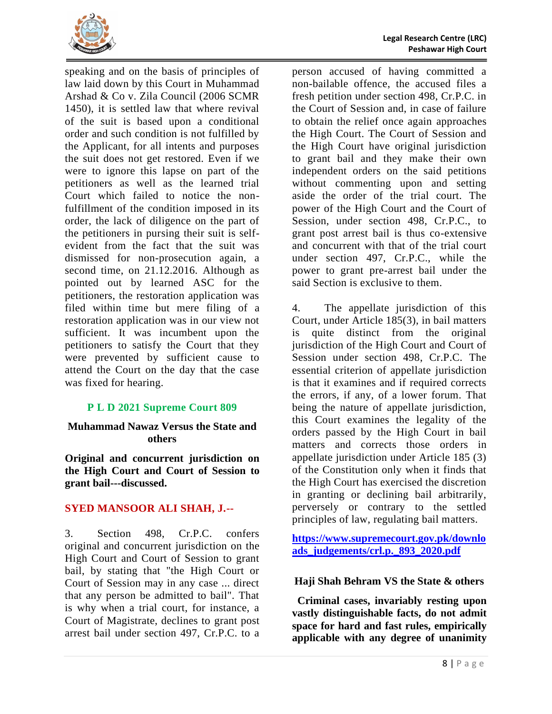

speaking and on the basis of principles of law laid down by this Court in Muhammad Arshad & Co v. Zila Council (2006 SCMR 1450), it is settled law that where revival of the suit is based upon a conditional order and such condition is not fulfilled by the Applicant, for all intents and purposes the suit does not get restored. Even if we were to ignore this lapse on part of the petitioners as well as the learned trial Court which failed to notice the nonfulfillment of the condition imposed in its order, the lack of diligence on the part of the petitioners in pursing their suit is selfevident from the fact that the suit was dismissed for non-prosecution again, a second time, on 21.12.2016. Although as pointed out by learned ASC for the petitioners, the restoration application was filed within time but mere filing of a restoration application was in our view not sufficient. It was incumbent upon the petitioners to satisfy the Court that they were prevented by sufficient cause to attend the Court on the day that the case was fixed for hearing.

## **P L D 2021 Supreme Court 809**

#### <span id="page-10-0"></span>**Muhammad Nawaz Versus the State and others**

<span id="page-10-1"></span>**Original and concurrent jurisdiction on the High Court and Court of Session to grant bail---discussed.**

# **SYED MANSOOR ALI SHAH, J.--**

3. Section 498, Cr.P.C. confers original and concurrent jurisdiction on the High Court and Court of Session to grant bail, by stating that "the High Court or Court of Session may in any case ... direct that any person be admitted to bail". That is why when a trial court, for instance, a Court of Magistrate, declines to grant post arrest bail under section 497, Cr.P.C. to a

person accused of having committed a non-bailable offence, the accused files a fresh petition under section 498, Cr.P.C. in the Court of Session and, in case of failure to obtain the relief once again approaches the High Court. The Court of Session and the High Court have original jurisdiction to grant bail and they make their own independent orders on the said petitions without commenting upon and setting aside the order of the trial court. The power of the High Court and the Court of Session, under section 498, Cr.P.C., to grant post arrest bail is thus co-extensive and concurrent with that of the trial court under section 497, Cr.P.C., while the power to grant pre-arrest bail under the said Section is exclusive to them.

4. The appellate jurisdiction of this Court, under Article 185(3), in bail matters is quite distinct from the original jurisdiction of the High Court and Court of Session under section 498, Cr.P.C. The essential criterion of appellate jurisdiction is that it examines and if required corrects the errors, if any, of a lower forum. That being the nature of appellate jurisdiction, this Court examines the legality of the orders passed by the High Court in bail matters and corrects those orders in appellate jurisdiction under Article 185 (3) of the Constitution only when it finds that the High Court has exercised the discretion in granting or declining bail arbitrarily, perversely or contrary to the settled principles of law, regulating bail matters.

**[https://www.supremecourt.gov.pk/downlo](https://www.supremecourt.gov.pk/downloads_judgements/crl.p._893_2020.pdf) [ads\\_judgements/crl.p.\\_893\\_2020.pdf](https://www.supremecourt.gov.pk/downloads_judgements/crl.p._893_2020.pdf)**

## <span id="page-10-2"></span>**Haji Shah Behram VS the State & others**

<span id="page-10-3"></span> **Criminal cases, invariably resting upon vastly distinguishable facts, do not admit space for hard and fast rules, empirically applicable with any degree of unanimity**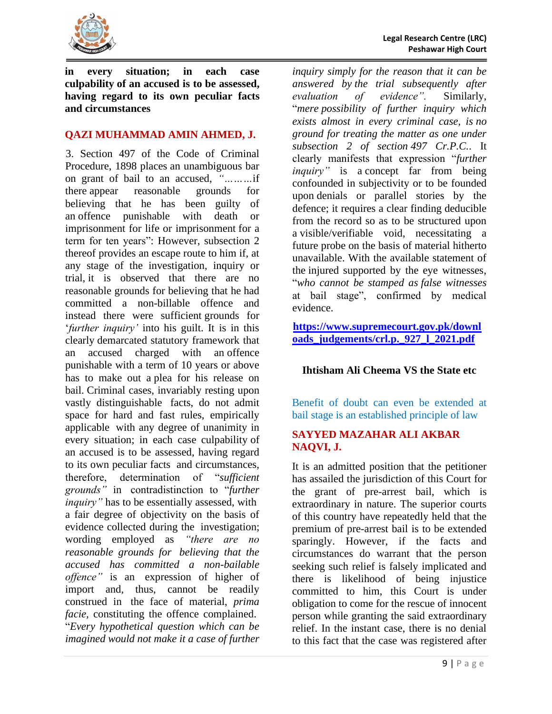

**in every situation; in each case culpability of an accused is to be assessed, having regard to its own peculiar facts and circumstances**

#### **QAZI MUHAMMAD AMIN AHMED, J.**

3. Section 497 of the Code of Criminal Procedure, 1898 places an unambiguous bar on grant of bail to an accused, *"………*if there appear reasonable grounds for believing that he has been guilty of an offence punishable with death or imprisonment for life or imprisonment for a term for ten years": However, subsection 2 thereof provides an escape route to him if, at any stage of the investigation, inquiry or trial, it is observed that there are no reasonable grounds for believing that he had committed a non-billable offence and instead there were sufficient grounds for '*further inquiry'* into his guilt. It is in this clearly demarcated statutory framework that an accused charged with an offence punishable with a term of 10 years or above has to make out a plea for his release on bail. Criminal cases, invariably resting upon vastly distinguishable facts, do not admit space for hard and fast rules, empirically applicable with any degree of unanimity in every situation; in each case culpability of an accused is to be assessed, having regard to its own peculiar facts and circumstances, therefore, determination of "*sufficient grounds"* in contradistinction to "*further inquiry"* has to be essentially assessed, with a fair degree of objectivity on the basis of evidence collected during the investigation; wording employed as *"there are no reasonable grounds for believing that the accused has committed a non-bailable offence"* is an expression of higher of import and, thus, cannot be readily construed in the face of material, *prima facie,* constituting the offence complained. "*Every hypothetical question which can be imagined would not make it a case of further* 

*inquiry simply for the reason that it can be answered by the trial subsequently after evaluation of evidence".* Similarly, "*mere possibility of further inquiry which exists almost in every criminal case, is no ground for treating the matter as one under subsection 2 of section 497 Cr.P.C.*. It clearly manifests that expression "*further inquiry*" is a concept far from being confounded in subjectivity or to be founded upon denials or parallel stories by the defence; it requires a clear finding deducible from the record so as to be structured upon a visible/verifiable void, necessitating a future probe on the basis of material hitherto unavailable. With the available statement of the injured supported by the eye witnesses, "*who cannot be stamped as false witnesses*  at bail stage", confirmed by medical evidence.

**[https://www.supremecourt.gov.pk/downl](https://www.supremecourt.gov.pk/downloads_judgements/crl.p._927_l_2021.pdf) [oads\\_judgements/crl.p.\\_927\\_l\\_2021.pdf](https://www.supremecourt.gov.pk/downloads_judgements/crl.p._927_l_2021.pdf)**

## <span id="page-11-0"></span>**Ihtisham Ali Cheema VS the State etc**

<span id="page-11-1"></span>Benefit of doubt can even be extended at bail stage is an established principle of law

#### **SAYYED MAZAHAR ALI AKBAR NAQVI, J.**

It is an admitted position that the petitioner has assailed the jurisdiction of this Court for the grant of pre-arrest bail, which is extraordinary in nature. The superior courts of this country have repeatedly held that the premium of pre-arrest bail is to be extended sparingly. However, if the facts and circumstances do warrant that the person seeking such relief is falsely implicated and there is likelihood of being injustice committed to him, this Court is under obligation to come for the rescue of innocent person while granting the said extraordinary relief. In the instant case, there is no denial to this fact that the case was registered after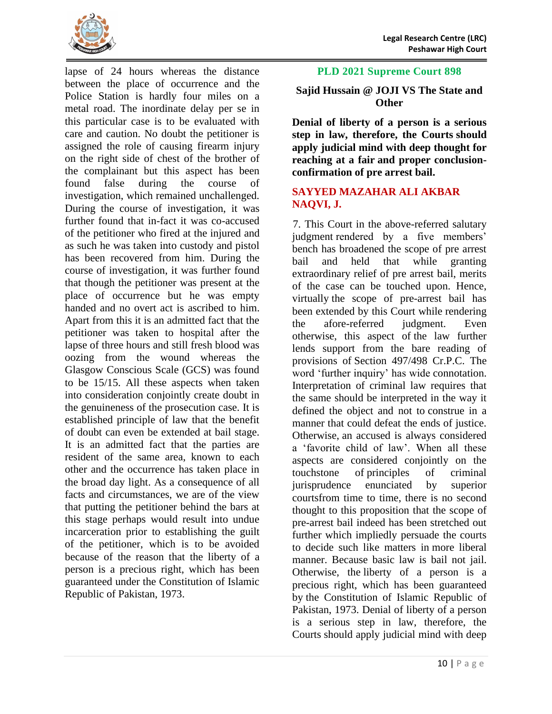

lapse of 24 hours whereas the distance between the place of occurrence and the Police Station is hardly four miles on a metal road. The inordinate delay per se in this particular case is to be evaluated with care and caution. No doubt the petitioner is assigned the role of causing firearm injury on the right side of chest of the brother of the complainant but this aspect has been found false during the course of investigation, which remained unchallenged. During the course of investigation, it was further found that in-fact it was co-accused of the petitioner who fired at the injured and as such he was taken into custody and pistol has been recovered from him. During the course of investigation, it was further found that though the petitioner was present at the place of occurrence but he was empty handed and no overt act is ascribed to him. Apart from this it is an admitted fact that the petitioner was taken to hospital after the lapse of three hours and still fresh blood was oozing from the wound whereas the Glasgow Conscious Scale (GCS) was found to be 15/15. All these aspects when taken into consideration conjointly create doubt in the genuineness of the prosecution case. It is established principle of law that the benefit of doubt can even be extended at bail stage. It is an admitted fact that the parties are resident of the same area, known to each other and the occurrence has taken place in the broad day light. As a consequence of all facts and circumstances, we are of the view that putting the petitioner behind the bars at this stage perhaps would result into undue incarceration prior to establishing the guilt of the petitioner, which is to be avoided because of the reason that the liberty of a person is a precious right, which has been guaranteed under the Constitution of Islamic Republic of Pakistan, 1973.

#### **PLD 2021 Supreme Court 898**

## <span id="page-12-0"></span>**Sajid Hussain @ JOJI VS The State and Other**

<span id="page-12-1"></span>**Denial of liberty of a person is a serious step in law, therefore, the Courts should apply judicial mind with deep thought for reaching at a fair and proper conclusionconfirmation of pre arrest bail.**

#### **SAYYED MAZAHAR ALI AKBAR NAQVI, J.**

7. This Court in the above-referred salutary judgment rendered by a five members' bench has broadened the scope of pre arrest bail and held that while granting extraordinary relief of pre arrest bail, merits of the case can be touched upon. Hence, virtually the scope of pre-arrest bail has been extended by this Court while rendering the afore-referred judgment. Even otherwise, this aspect of the law further lends support from the bare reading of provisions of Section 497/498 Cr.P.C. The word 'further inquiry' has wide connotation. Interpretation of criminal law requires that the same should be interpreted in the way it defined the object and not to construe in a manner that could defeat the ends of justice. Otherwise, an accused is always considered a 'favorite child of law'. When all these aspects are considered conjointly on the touchstone of principles of criminal jurisprudence enunciated by superior courtsfrom time to time, there is no second thought to this proposition that the scope of pre-arrest bail indeed has been stretched out further which impliedly persuade the courts to decide such like matters in more liberal manner. Because basic law is bail not jail. Otherwise, the liberty of a person is a precious right, which has been guaranteed by the Constitution of Islamic Republic of Pakistan, 1973. Denial of liberty of a person is a serious step in law, therefore, the Courts should apply judicial mind with deep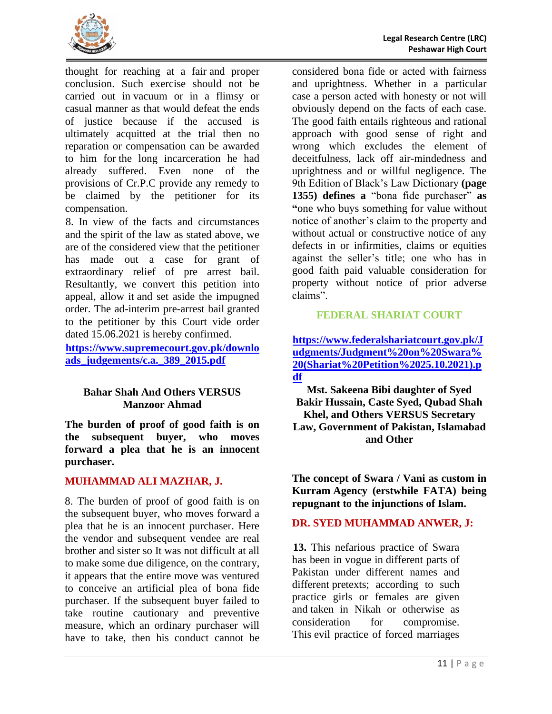

thought for reaching at a fair and proper conclusion. Such exercise should not be carried out in vacuum or in a flimsy or casual manner as that would defeat the ends of justice because if the accused is ultimately acquitted at the trial then no reparation or compensation can be awarded to him for the long incarceration he had already suffered. Even none of the provisions of Cr.P.C provide any remedy to be claimed by the petitioner for its compensation.

8. In view of the facts and circumstances and the spirit of the law as stated above, we are of the considered view that the petitioner has made out a case for grant of extraordinary relief of pre arrest bail. Resultantly, we convert this petition into appeal, allow it and set aside the impugned order. The ad-interim pre-arrest bail granted to the petitioner by this Court vide order dated 15.06.2021 is hereby confirmed.

**[https://www.supremecourt.gov.pk/downlo](https://www.supremecourt.gov.pk/downloads_judgements/c.a._389_2015.pdf) [ads\\_judgements/c.a.\\_389\\_2015.pdf](https://www.supremecourt.gov.pk/downloads_judgements/c.a._389_2015.pdf)**

## <span id="page-13-0"></span>**Bahar Shah And Others VERSUS Manzoor Ahmad**

<span id="page-13-1"></span>**The burden of proof of good faith is on the subsequent buyer, who moves forward a plea that he is an innocent purchaser.**

## **MUHAMMAD ALI MAZHAR, J.**

8. The burden of proof of good faith is on the subsequent buyer, who moves forward a plea that he is an innocent purchaser. Here the vendor and subsequent vendee are real brother and sister so It was not difficult at all to make some due diligence, on the contrary, it appears that the entire move was ventured to conceive an artificial plea of bona fide purchaser. If the subsequent buyer failed to take routine cautionary and preventive measure, which an ordinary purchaser will have to take, then his conduct cannot be

considered bona fide or acted with fairness and uprightness. Whether in a particular case a person acted with honesty or not will obviously depend on the facts of each case. The good faith entails righteous and rational approach with good sense of right and wrong which excludes the element of deceitfulness, lack off air-mindedness and uprightness and or willful negligence. The 9th Edition of Black's Law Dictionary **(page 1355) defines a** "bona fide purchaser" **as "**one who buys something for value without notice of another's claim to the property and without actual or constructive notice of any defects in or infirmities, claims or equities against the seller's title; one who has in good faith paid valuable consideration for property without notice of prior adverse claims".

## **FEDERAL SHARIAT COURT**

**[https://www.federalshariatcourt.gov.pk/J](https://www.federalshariatcourt.gov.pk/Judgments/Judgment%20on%20Swara%20(Shariat%20Petition%2025.10.2021).pdf) [udgments/Judgment%20on%20Swara%](https://www.federalshariatcourt.gov.pk/Judgments/Judgment%20on%20Swara%20(Shariat%20Petition%2025.10.2021).pdf) [20\(Shariat%20Petition%2025.10.2021\).p](https://www.federalshariatcourt.gov.pk/Judgments/Judgment%20on%20Swara%20(Shariat%20Petition%2025.10.2021).pdf) [df](https://www.federalshariatcourt.gov.pk/Judgments/Judgment%20on%20Swara%20(Shariat%20Petition%2025.10.2021).pdf)**

<span id="page-13-2"></span>**Mst. Sakeena Bibi daughter of Syed Bakir Hussain, Caste Syed, Qubad Shah Khel, and Others VERSUS Secretary Law, Government of Pakistan, Islamabad and Other**

<span id="page-13-3"></span>**The concept of Swara / Vani as custom in Kurram Agency (erstwhile FATA) being repugnant to the injunctions of Islam.**

# **DR. SYED MUHAMMAD ANWER, J:**

**13.** This nefarious practice of Swara has been in vogue in different parts of Pakistan under different names and different pretexts; according to such practice girls or females are given and taken in Nikah or otherwise as consideration for compromise. This evil practice of forced marriages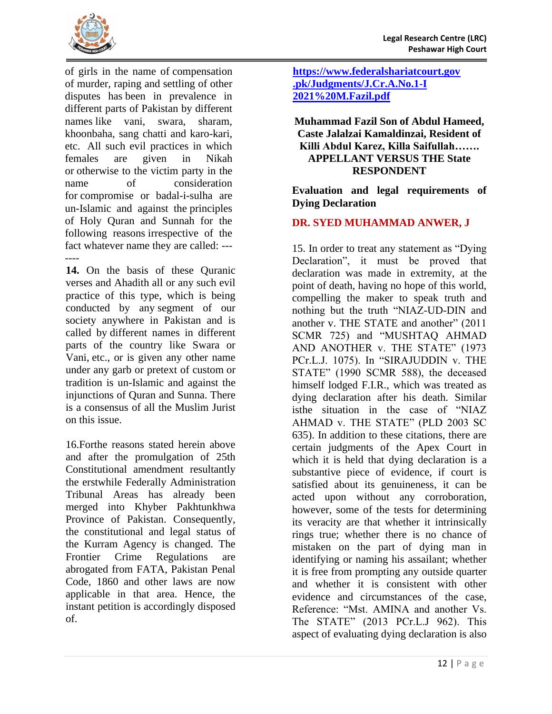

of girls in the name of compensation of murder, raping and settling of other disputes has been in prevalence in different parts of Pakistan by different names like vani, swara, sharam, khoonbaha, sang chatti and karo-kari, etc. All such evil practices in which females are given in Nikah or otherwise to the victim party in the name of consideration for compromise or badal-i-sulha are un-Islamic and against the principles of Holy Quran and Sunnah for the following reasons irrespective of the fact whatever name they are called: --- ----

**14.** On the basis of these Quranic verses and Ahadith all or any such evil practice of this type, which is being conducted by any segment of our society anywhere in Pakistan and is called by different names in different parts of the country like Swara or Vani, etc., or is given any other name under any garb or pretext of custom or tradition is un-Islamic and against the injunctions of Quran and Sunna. There is a consensus of all the Muslim Jurist on this issue.

16.Forthe reasons stated herein above and after the promulgation of 25th Constitutional amendment resultantly the erstwhile Federally Administration Tribunal Areas has already been merged into Khyber Pakhtunkhwa Province of Pakistan. Consequently, the constitutional and legal status of the Kurram Agency is changed. The Frontier Crime Regulations are abrogated from FATA, Pakistan Penal Code, 1860 and other laws are now applicable in that area. Hence, the instant petition is accordingly disposed of.

**[https://www.federalshariatcourt.gov](https://www.federalshariatcourt.gov.pk/Judgments/J.Cr.A.No.1-I%202021%20M.Fazil.pdf) [.pk/Judgments/J.Cr.A.No.1-I](https://www.federalshariatcourt.gov.pk/Judgments/J.Cr.A.No.1-I%202021%20M.Fazil.pdf)  [2021%20M.Fazil.pdf](https://www.federalshariatcourt.gov.pk/Judgments/J.Cr.A.No.1-I%202021%20M.Fazil.pdf)**

<span id="page-14-0"></span>**Muhammad Fazil Son of Abdul Hameed, Caste Jalalzai Kamaldinzai, Resident of Killi Abdul Karez, Killa Saifullah……. APPELLANT VERSUS THE State RESPONDENT**

<span id="page-14-1"></span>**Evaluation and legal requirements of Dying Declaration**

## **DR. SYED MUHAMMAD ANWER, J**

15. In order to treat any statement as "Dying Declaration", it must be proved that declaration was made in extremity, at the point of death, having no hope of this world, compelling the maker to speak truth and nothing but the truth "NIAZ-UD-DIN and another v. THE STATE and another" (2011 SCMR 725) and "MUSHTAQ AHMAD AND ANOTHER v. THE STATE" (1973 PCr.L.J. 1075). In "SIRAJUDDIN v. THE STATE" (1990 SCMR 588), the deceased himself lodged F.I.R., which was treated as dying declaration after his death. Similar isthe situation in the case of "NIAZ AHMAD v. THE STATE" (PLD 2003 SC 635). In addition to these citations, there are certain judgments of the Apex Court in which it is held that dying declaration is a substantive piece of evidence, if court is satisfied about its genuineness, it can be acted upon without any corroboration, however, some of the tests for determining its veracity are that whether it intrinsically rings true; whether there is no chance of mistaken on the part of dying man in identifying or naming his assailant; whether it is free from prompting any outside quarter and whether it is consistent with other evidence and circumstances of the case, Reference: "Mst. AMINA and another Vs. The STATE" (2013 PCr.L.J 962). This aspect of evaluating dying declaration is also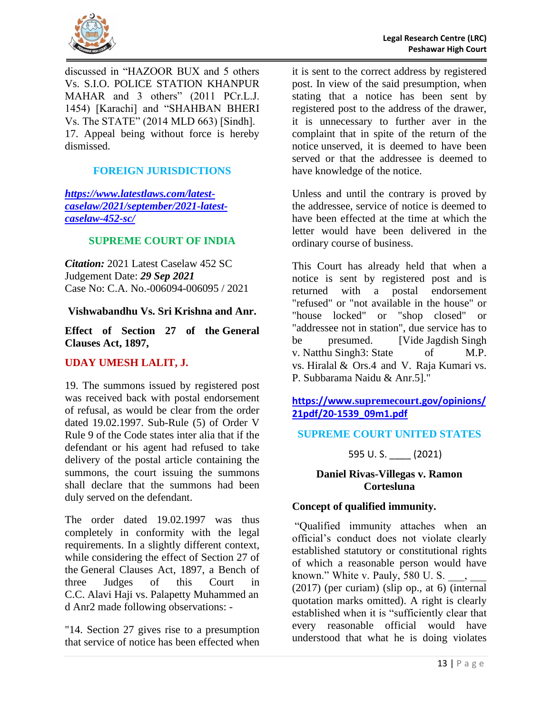

discussed in "HAZOOR BUX and 5 others Vs. S.I.O. POLICE STATION KHANPUR MAHAR and 3 others" (2011 PCr.L.J. 1454) [Karachi] and "SHAHBAN BHERI Vs. The STATE" (2014 MLD 663) [Sindh]. 17. Appeal being without force is hereby dismissed.

# **FOREIGN JURISDICTIONS**

*[https://www.latestlaws.com/latest](https://www.latestlaws.com/latest-caselaw/2021/september/2021-latest-caselaw-452-sc/)[caselaw/2021/september/2021-latest](https://www.latestlaws.com/latest-caselaw/2021/september/2021-latest-caselaw-452-sc/)[caselaw-452-sc/](https://www.latestlaws.com/latest-caselaw/2021/september/2021-latest-caselaw-452-sc/)*

#### **SUPREME COURT OF INDIA**

*Citation:* 2021 Latest Caselaw 452 SC Judgement Date: *29 Sep 2021* Case No: C.A. No.-006094-006095 / 2021

#### <span id="page-15-0"></span>**Vishwabandhu Vs. Sri Krishna and Anr.**

<span id="page-15-1"></span>**Effect of Section 27 of the [General](https://www.latestlaws.com/bare-acts/central-acts-rules/civil-laws/the-general-clauses-act-1897/)  [Clauses Act, 1897,](https://www.latestlaws.com/bare-acts/central-acts-rules/civil-laws/the-general-clauses-act-1897/)** 

## **UDAY UMESH LALIT, J.**

19. The summons issued by registered post was received back with postal endorsement of refusal, as would be clear from the order dated 19.02.1997. Sub-Rule (5) of Order V Rule 9 of the Code states inter alia that if the defendant or his agent had refused to take delivery of the postal article containing the summons, the court issuing the summons shall declare that the summons had been duly served on the defendant.

The order dated 19.02.1997 was thus completely in conformity with the legal requirements. In a slightly different context, while considering the effect of Section 27 of the General Clauses Act, 1897, a Bench of three Judges of this Court in C.C. Alavi Haji vs. Palapetty Muhammed an d Anr2 made following observations: -

"14. Section 27 gives rise to a presumption that service of notice has been effected when it is sent to the correct address by registered post. In view of the said presumption, when stating that a notice has been sent by registered post to the address of the drawer, it is unnecessary to further aver in the complaint that in spite of the return of the notice unserved, it is deemed to have been served or that the addressee is deemed to have knowledge of the notice.

Unless and until the contrary is proved by the addressee, service of notice is deemed to have been effected at the time at which the letter would have been delivered in the ordinary course of business.

This Court has already held that when a notice is sent by registered post and is returned with a postal endorsement "refused" or "not available in the house" or "house locked" or "shop closed" or "addressee not in station", due service has to be presumed. [Vide Jagdish Singh v. Natthu Singh3: State of M.P. vs. Hiralal & Ors.4 and V. Raja Kumari vs. P. Subbarama Naidu & Anr.5]."

## **https://www.supremecourt[.gov/opinions/](https://www.supremecourt.gov/opinions/21pdf/20-1539_09m1.pdf) [21pdf/20-1539\\_09m1.pdf](https://www.supremecourt.gov/opinions/21pdf/20-1539_09m1.pdf)**

## **SUPREME COURT UNITED STATES**

595 U. S. \_\_\_\_ (2021)

#### <span id="page-15-2"></span>**Daniel Rivas-Villegas v. Ramon Cortesluna**

#### <span id="page-15-3"></span>**Concept of qualified immunity.**

"Qualified immunity attaches when an official's conduct does not violate clearly established statutory or constitutional rights of which a reasonable person would have known." White v. Pauly, 580 U. S.  $(2017)$  (per curiam) (slip op., at 6) (internal quotation marks omitted). A right is clearly established when it is "sufficiently clear that every reasonable official would have understood that what he is doing violates